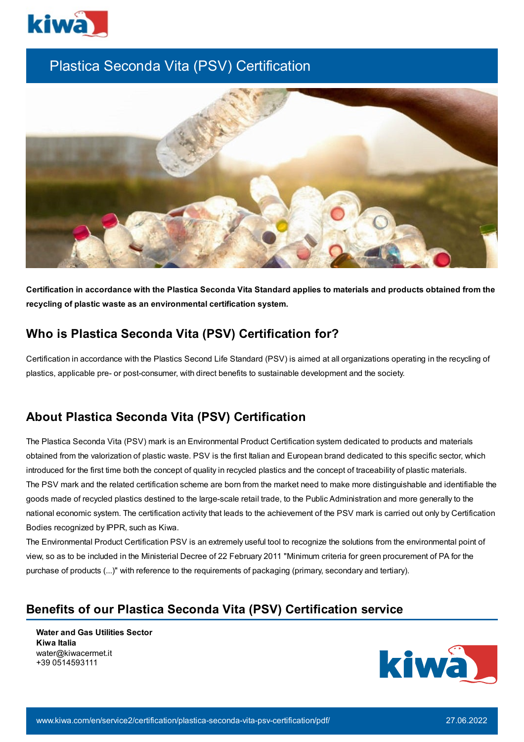

# Plastica Seconda Vita (PSV) Certification



Certification in accordance with the Plastica Seconda Vita Standard applies to materials and products obtained from the **recycling of plastic waste as an environmental certification system.**

## **Who is Plastica Seconda Vita (PSV) Certification for?**

Certification in accordance with the Plastics Second Life Standard (PSV) is aimed at all organizations operating in the recycling of plastics, applicable pre- or post-consumer, with direct benefits to sustainable development and the society.

## **About Plastica Seconda Vita (PSV) Certification**

The Plastica Seconda Vita (PSV) mark is an Environmental Product Certification system dedicated to products and materials obtained from the valorization of plastic waste. PSV is the first Italian and European brand dedicated to this specific sector, which introduced for the first time both the concept of quality in recycled plastics and the concept of traceability of plastic materials. The PSV mark and the related certification scheme are born from the market need to make more distinguishable and identifiable the goods made of recycled plastics destined to the large-scale retail trade, to the Public Administration and more generally to the national economic system. The certification activity that leads to the achievement of the PSV mark is carried out only by Certification Bodies recognized by IPPR, such as Kiwa.

The Environmental Product Certification PSV is an extremely useful tool to recognize the solutions from the environmental point of view, so as to be included in the Ministerial Decree of 22 February 2011 "Minimum criteria for green procurement of PA for the purchase of products (...)" with reference to the requirements of packaging (primary, secondary and tertiary).

#### **Benefits of our Plastica Seconda Vita (PSV) Certification service**

**Water and Gas Utilities Sector Kiwa Italia** water@kiwacermet.it +39 0514593111